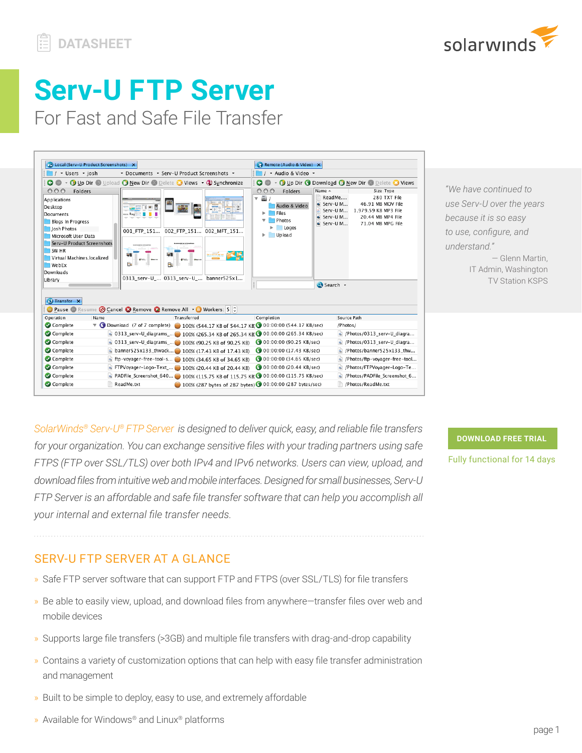

# **Serv-U FTP Server**

For Fast and Safe File Transfer



*"We have continued to use Serv-U over the years because it is so easy to use, configure, and understand."* — Glenn Martin, IT Admin, Washington TV Station KSPS

*SolarWinds® [Serv-U® FTP Server](http://www.serv-u.com/ftp-server.asp) is designed to deliver quick, easy, and reliable file transfers for your organization. You can exchange sensitive files with your trading partners using safe FTPS (FTP over SSL/TLS) over both IPv4 and IPv6 networks. Users can view, upload, and download files from intuitive web and mobile interfaces. Designed for small businesses, Serv-U FTP Server is an affordable and safe file transfer software that can help you accomplish all your internal and external file transfer needs.*

**[DOWNLOAD FREE TRIAL](https://www.serv-u.com/ftp-server-software/registration?program=19552&campaign=70150000000PfVY&CMP=LEC-WP-SWI-SW_WW_X_NP_X_LD_EN_SIEM_X-SFTP-20181031_DTASHT_X_X-X)**

Fully functional for 14 days

# SERV-U FTP SERVER AT A GLANCE

- » Safe FTP server software that can support FTP and FTPS (over SSL/TLS) for file transfers
- » Be able to easily view, upload, and download files from anywhere—transfer files over web and mobile devices
- » Supports large file transfers (>3GB) and multiple file transfers with drag-and-drop capability
- » Contains a variety of customization options that can help with easy file transfer administration and management
- » Built to be simple to deploy, easy to use, and extremely affordable
- » Available for Windows® and Linux® platforms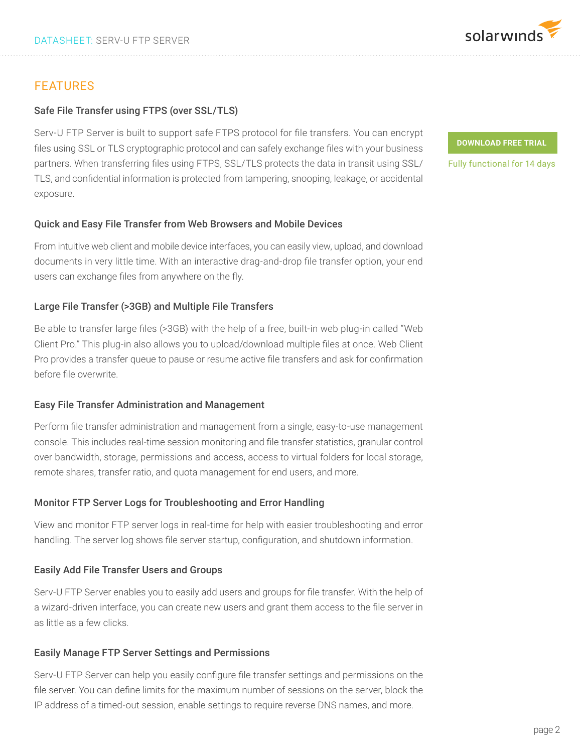

### Safe File Transfer using FTPS (over SSL/TLS)

Serv-U FTP Server is built to support safe FTPS protocol for file transfers. You can encrypt files using SSL or TLS cryptographic protocol and can safely exchange files with your business partners. When transferring files using FTPS, SSL/TLS protects the data in transit using SSL/ TLS, and confidential information is protected from tampering, snooping, leakage, or accidental exposure.

#### Quick and Easy File Transfer from Web Browsers and Mobile Devices

From intuitive web client and mobile device interfaces, you can easily view, upload, and download documents in very little time. With an interactive drag-and-drop file transfer option, your end users can exchange files from anywhere on the fly.

#### Large File Transfer (>3GB) and Multiple File Transfers

Be able to transfer large files (>3GB) with the help of a free, built-in web plug-in called "Web Client Pro." This plug-in also allows you to upload/download multiple files at once. Web Client Pro provides a transfer queue to pause or resume active file transfers and ask for confirmation before file overwrite.

#### Easy File Transfer Administration and Management

Perform file transfer administration and management from a single, easy-to-use management console. This includes real-time session monitoring and file transfer statistics, granular control over bandwidth, storage, permissions and access, access to virtual folders for local storage, remote shares, transfer ratio, and quota management for end users, and more.

## Monitor FTP Server Logs for Troubleshooting and Error Handling

View and monitor FTP server logs in real-time for help with easier troubleshooting and error handling. The server log shows file server startup, configuration, and shutdown information.

## Easily Add File Transfer Users and Groups

Serv-U FTP Server enables you to easily add users and groups for file transfer. With the help of a wizard-driven interface, you can create new users and grant them access to the file server in as little as a few clicks.

## Easily Manage FTP Server Settings and Permissions

Serv-U FTP Server can help you easily configure file transfer settings and permissions on the file server. You can define limits for the maximum number of sessions on the server, block the IP address of a timed-out session, enable settings to require reverse DNS names, and more.

page 2

## **[DOWNLOAD FREE TRIAL](https://www.serv-u.com/ftp-server-software/registration?program=19552&campaign=70150000000PfVY&CMP=LEC-WP-SWI-SW_WW_X_NP_X_LD_EN_SIEM_X-SFTP-20181031_DTASHT_X_X-X)**

Fully functional for 14 days

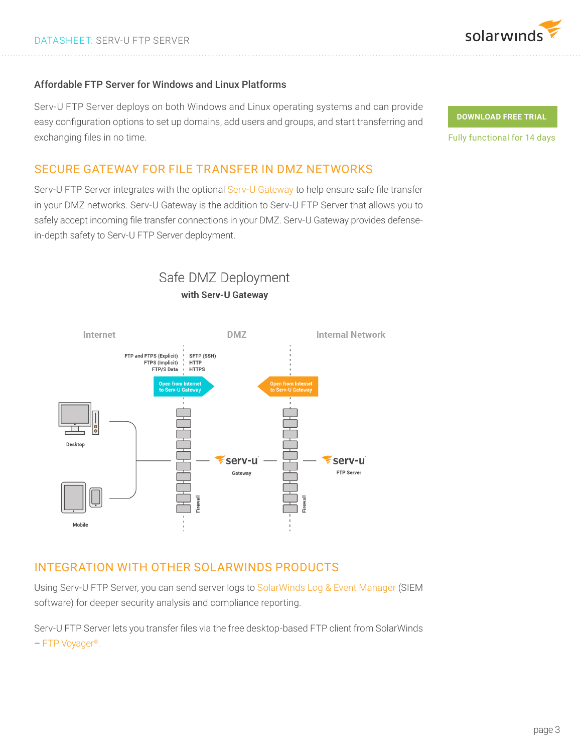

#### Affordable FTP Server for Windows and Linux Platforms

Serv-U FTP Server deploys on both Windows and Linux operating systems and can provide easy configuration options to set up domains, add users and groups, and start transferring and exchanging files in no time.

## SECURE GATEWAY FOR FILE TRANSFER IN DMZ NETWORKS

Serv-U FTP Server integrates with the optional [Serv-U Gateway](http://www.serv-u.com/gateway/) to help ensure safe file transfer in your DMZ networks. Serv-U Gateway is the addition to Serv-U FTP Server that allows you to safely accept incoming file transfer connections in your DMZ. Serv-U Gateway provides defensein-depth safety to Serv-U FTP Server deployment.



Safe DMZ Deployment with Serv-U Gateway

# INTEGRATION WITH OTHER SOLARWINDS PRODUCTS

Using Serv-U FTP Server, you can send server logs to [SolarWinds Log & Event Manager](http://www.solarwinds.com/log-event-manager) (SIEM software) for deeper security analysis and compliance reporting.

Serv-U FTP Server lets you transfer files via the free desktop-based FTP client from SolarWinds – [FTP Voyager®](http://www.solarwinds.com/free-tools/ftp-voyager-ftp-client-for-windows).

**[DOWNLOAD FREE TRIAL](https://www.serv-u.com/ftp-server-software/registration?program=19552&campaign=70150000000PfVY&CMP=LEC-WP-SWI-SW_WW_X_NP_X_LD_EN_SIEM_X-SFTP-20181031_DTASHT_X_X-X)**

Fully functional for 14 days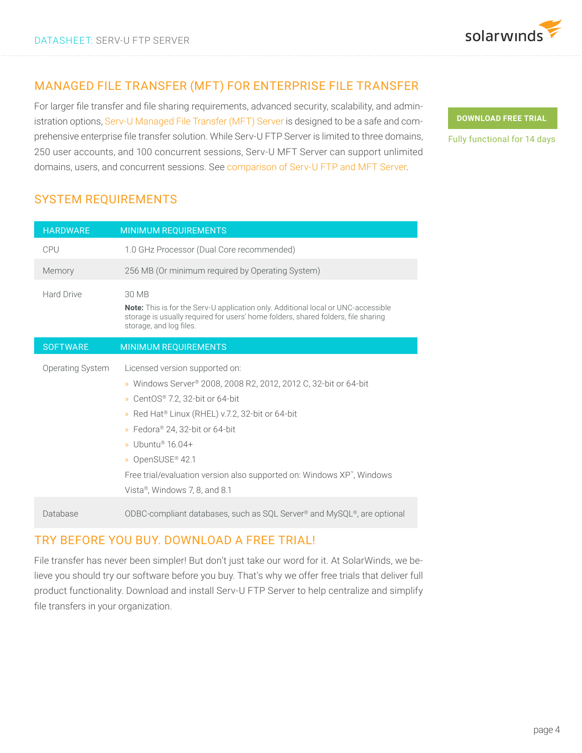

# MANAGED FILE TRANSFER (MFT) FOR ENTERPRISE FILE TRANSFER

For larger file transfer and file sharing requirements, advanced security, scalability, and administration options, [Serv-U Managed File Transfer \(MFT\) Server](https://www.serv-u.com/managed-file-transfer-server) is designed to be a safe and comprehensive enterprise file transfer solution. While Serv-U FTP Server is limited to three domains, 250 user accounts, and 100 concurrent sessions, Serv-U MFT Server can support unlimited domains, users, and concurrent sessions. See c[omparison of Serv-U FTP and MFT Server.](https://www.serv-u.com/editions)

**[DOWNLOAD FREE TRIAL](https://www.serv-u.com/ftp-server-software/registration?program=19552&campaign=70150000000PfVY&CMP=LEC-WP-SWI-SW_WW_X_NP_X_LD_EN_SIEM_X-SFTP-20181031_DTASHT_X_X-X)**

Fully functional for 14 days

# SYSTEM REQUIREMENTS

| <b>HARDWARE</b>   | <b>MINIMUM REQUIREMENTS</b>                                                                                                                                                                                                                                                                                                                                                             |
|-------------------|-----------------------------------------------------------------------------------------------------------------------------------------------------------------------------------------------------------------------------------------------------------------------------------------------------------------------------------------------------------------------------------------|
| <b>CPU</b>        | 1.0 GHz Processor (Dual Core recommended)                                                                                                                                                                                                                                                                                                                                               |
| Memory            | 256 MB (Or minimum required by Operating System)                                                                                                                                                                                                                                                                                                                                        |
| <b>Hard Drive</b> | 30 MB<br><b>Note:</b> This is for the Serv-U application only. Additional local or UNC-accessible<br>storage is usually required for users' home folders, shared folders, file sharing<br>storage, and log files.                                                                                                                                                                       |
| <b>SOFTWARE</b>   | <b>MINIMUM REQUIREMENTS</b>                                                                                                                                                                                                                                                                                                                                                             |
| Operating System  | Licensed version supported on:<br>» Windows Server® 2008, 2008 R2, 2012, 2012 C, 32-bit or 64-bit<br>» CentOS® 7.2, 32-bit or 64-bit<br>» Red Hat® Linux (RHEL) v.7.2, 32-bit or 64-bit<br>» Fedora® 24, 32-bit or 64-bit<br>» Ubuntu <sup>®</sup> 16.04+<br>» OpenSUSE® 42.1<br>Free trial/evaluation version also supported on: Windows XP", Windows<br>Vista®, Windows 7, 8, and 8.1 |
| Database          | ODBC-compliant databases, such as SQL Server <sup>®</sup> and MySQL <sup>®</sup> , are optional                                                                                                                                                                                                                                                                                         |

# TRY BEFORE YOU BUY. DOWNLOAD A FREE TRIAL!

File transfer has never been simpler! But don't just take our word for it. At SolarWinds, we believe you should try our software before you buy. That's why we offer free trials that deliver full product functionality. Download and install Serv-U FTP Server to help centralize and simplify file transfers in your organization.